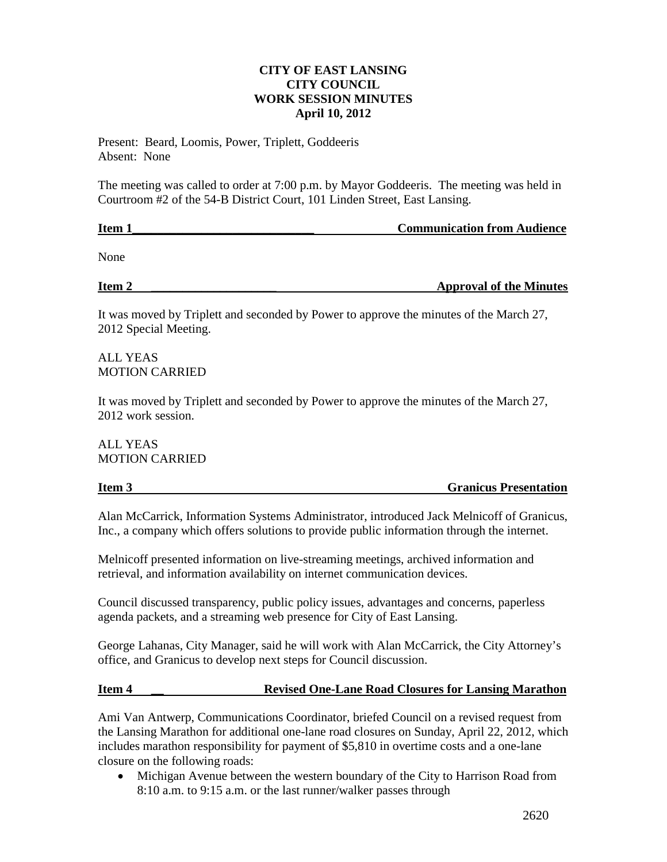## **CITY OF EAST LANSING CITY COUNCIL WORK SESSION MINUTES April 10, 2012**

Present: Beard, Loomis, Power, Triplett, Goddeeris Absent: None

The meeting was called to order at 7:00 p.m. by Mayor Goddeeris. The meeting was held in Courtroom #2 of the 54-B District Court, 101 Linden Street, East Lansing.

| Item 1 | <b>Communication from Audience</b> |
|--------|------------------------------------|
|        |                                    |
| None   |                                    |

**Item 2 \_\_\_\_\_\_\_\_\_\_\_\_\_\_\_\_\_\_\_\_ Approval of the Minutes**

It was moved by Triplett and seconded by Power to approve the minutes of the March 27, 2012 Special Meeting.

ALL YEAS MOTION CARRIED

It was moved by Triplett and seconded by Power to approve the minutes of the March 27, 2012 work session.

ALL YEAS MOTION CARRIED

# **Item 3** Granicus Presentation

Alan McCarrick, Information Systems Administrator, introduced Jack Melnicoff of Granicus, Inc., a company which offers solutions to provide public information through the internet.

Melnicoff presented information on live-streaming meetings, archived information and retrieval, and information availability on internet communication devices.

Council discussed transparency, public policy issues, advantages and concerns, paperless agenda packets, and a streaming web presence for City of East Lansing.

George Lahanas, City Manager, said he will work with Alan McCarrick, the City Attorney's office, and Granicus to develop next steps for Council discussion.

### **Item 4 \_\_ Revised One-Lane Road Closures for Lansing Marathon**

Ami Van Antwerp, Communications Coordinator, briefed Council on a revised request from the Lansing Marathon for additional one-lane road closures on Sunday, April 22, 2012, which includes marathon responsibility for payment of \$5,810 in overtime costs and a one-lane closure on the following roads:

• Michigan Avenue between the western boundary of the City to Harrison Road from 8:10 a.m. to 9:15 a.m. or the last runner/walker passes through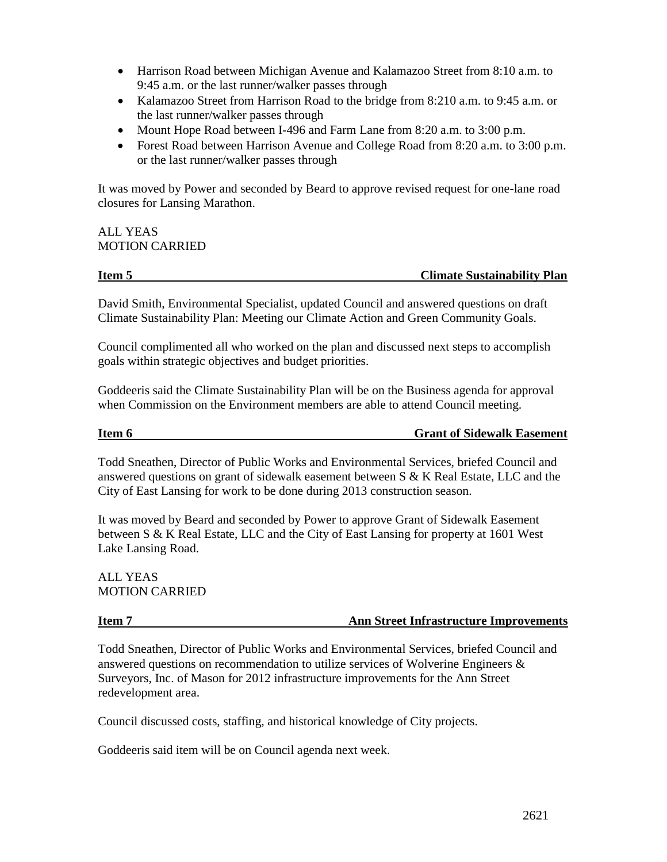- Harrison Road between Michigan Avenue and Kalamazoo Street from 8:10 a.m. to 9:45 a.m. or the last runner/walker passes through
- Kalamazoo Street from Harrison Road to the bridge from 8:210 a.m. to 9:45 a.m. or the last runner/walker passes through
- Mount Hope Road between I-496 and Farm Lane from 8:20 a.m. to 3:00 p.m.
- Forest Road between Harrison Avenue and College Road from 8:20 a.m. to 3:00 p.m. or the last runner/walker passes through

It was moved by Power and seconded by Beard to approve revised request for one-lane road closures for Lansing Marathon.

ALL YEAS MOTION CARRIED

### **Item 5** Climate Sustainability Plan

David Smith, Environmental Specialist, updated Council and answered questions on draft Climate Sustainability Plan: Meeting our Climate Action and Green Community Goals.

Council complimented all who worked on the plan and discussed next steps to accomplish goals within strategic objectives and budget priorities.

Goddeeris said the Climate Sustainability Plan will be on the Business agenda for approval when Commission on the Environment members are able to attend Council meeting.

### **Item 6** Grant of Sidewalk Easement

Todd Sneathen, Director of Public Works and Environmental Services, briefed Council and answered questions on grant of sidewalk easement between  $S \& K$  Real Estate, LLC and the City of East Lansing for work to be done during 2013 construction season.

It was moved by Beard and seconded by Power to approve Grant of Sidewalk Easement between S & K Real Estate, LLC and the City of East Lansing for property at 1601 West Lake Lansing Road.

ALL YEAS MOTION CARRIED

### **Item 7** Ann Street Infrastructure Improvements

Todd Sneathen, Director of Public Works and Environmental Services, briefed Council and answered questions on recommendation to utilize services of Wolverine Engineers & Surveyors, Inc. of Mason for 2012 infrastructure improvements for the Ann Street redevelopment area.

Council discussed costs, staffing, and historical knowledge of City projects.

Goddeeris said item will be on Council agenda next week.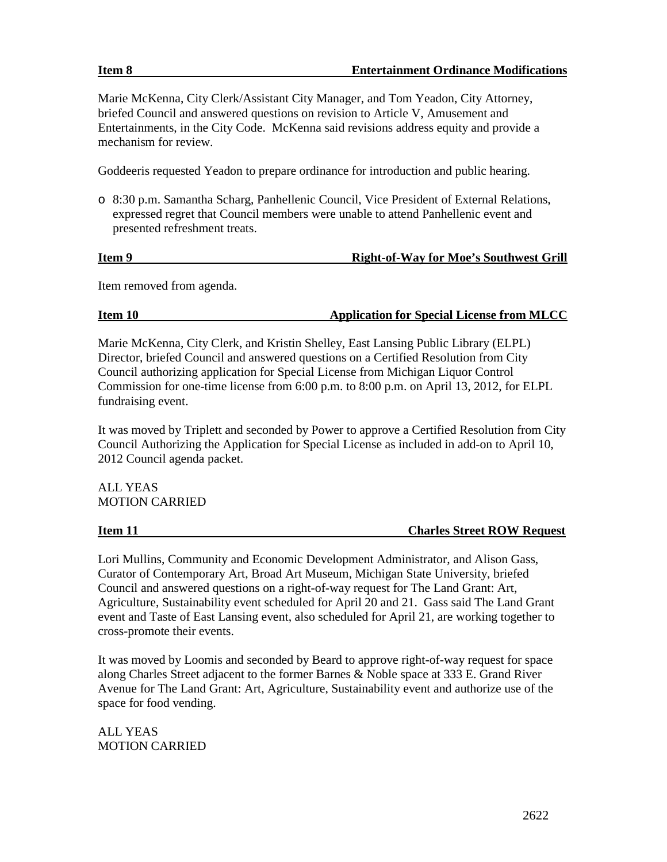Marie McKenna, City Clerk/Assistant City Manager, and Tom Yeadon, City Attorney, briefed Council and answered questions on revision to Article V, Amusement and Entertainments, in the City Code. McKenna said revisions address equity and provide a mechanism for review.

Goddeeris requested Yeadon to prepare ordinance for introduction and public hearing.

o 8:30 p.m. Samantha Scharg, Panhellenic Council, Vice President of External Relations, expressed regret that Council members were unable to attend Panhellenic event and presented refreshment treats.

# **Item 9** Right-of-Way for Moe's Southwest Grill

Item removed from agenda.

# **Item 10 Application for Special License from MLCC**

Marie McKenna, City Clerk, and Kristin Shelley, East Lansing Public Library (ELPL) Director, briefed Council and answered questions on a Certified Resolution from City Council authorizing application for Special License from Michigan Liquor Control Commission for one-time license from 6:00 p.m. to 8:00 p.m. on April 13, 2012, for ELPL fundraising event.

It was moved by Triplett and seconded by Power to approve a Certified Resolution from City Council Authorizing the Application for Special License as included in add-on to April 10, 2012 Council agenda packet.

ALL YEAS MOTION CARRIED

**Item 11** Charles Street ROW Request

Lori Mullins, Community and Economic Development Administrator, and Alison Gass, Curator of Contemporary Art, Broad Art Museum, Michigan State University, briefed Council and answered questions on a right-of-way request for The Land Grant: Art, Agriculture, Sustainability event scheduled for April 20 and 21. Gass said The Land Grant event and Taste of East Lansing event, also scheduled for April 21, are working together to cross-promote their events.

It was moved by Loomis and seconded by Beard to approve right-of-way request for space along Charles Street adjacent to the former Barnes & Noble space at 333 E. Grand River Avenue for The Land Grant: Art, Agriculture, Sustainability event and authorize use of the space for food vending.

ALL YEAS MOTION CARRIED